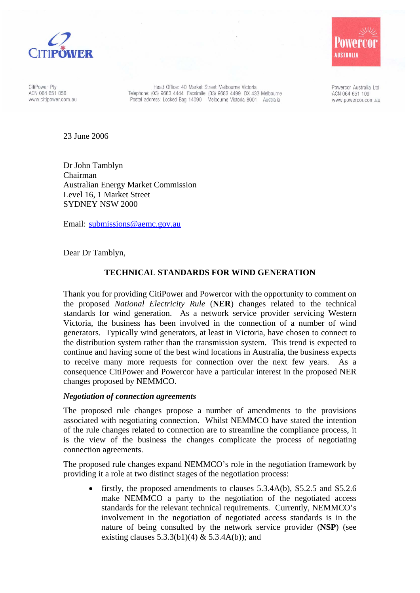

CitiPower Pty ACN 064 651 056 www.citipower.com.au

Head Office: 40 Market Street Melbourne Victoria Telephone: (03) 9683 4444 Facsimile: (03) 9683 4499 DX 433 Melbourne Postal address: Locked Bag 14090 Melbourne Victoria 8001 Australia

Powercor Australia Ltd ACN 064 651 109 www.powercor.com.au

**USTRALIA** 

23 June 2006

Dr John Tamblyn Chairman Australian Energy Market Commission Level 16, 1 Market Street SYDNEY NSW 2000

Email: submissions@aemc.gov.au

Dear Dr Tamblyn,

## **TECHNICAL STANDARDS FOR WIND GENERATION**

Thank you for providing CitiPower and Powercor with the opportunity to comment on the proposed *National Electricity Rule* (**NER**) changes related to the technical standards for wind generation. As a network service provider servicing Western Victoria, the business has been involved in the connection of a number of wind generators. Typically wind generators, at least in Victoria, have chosen to connect to the distribution system rather than the transmission system. This trend is expected to continue and having some of the best wind locations in Australia, the business expects to receive many more requests for connection over the next few years. As a consequence CitiPower and Powercor have a particular interest in the proposed NER changes proposed by NEMMCO.

## *Negotiation of connection agreements*

The proposed rule changes propose a number of amendments to the provisions associated with negotiating connection. Whilst NEMMCO have stated the intention of the rule changes related to connection are to streamline the compliance process, it is the view of the business the changes complicate the process of negotiating connection agreements.

The proposed rule changes expand NEMMCO's role in the negotiation framework by providing it a role at two distinct stages of the negotiation process:

• firstly, the proposed amendments to clauses 5.3.4A(b), S5.2.5 and S5.2.6 make NEMMCO a party to the negotiation of the negotiated access standards for the relevant technical requirements. Currently, NEMMCO's involvement in the negotiation of negotiated access standards is in the nature of being consulted by the network service provider (**NSP**) (see existing clauses  $5.3.3(b1)(4)$  &  $5.3.4A(b)$ ; and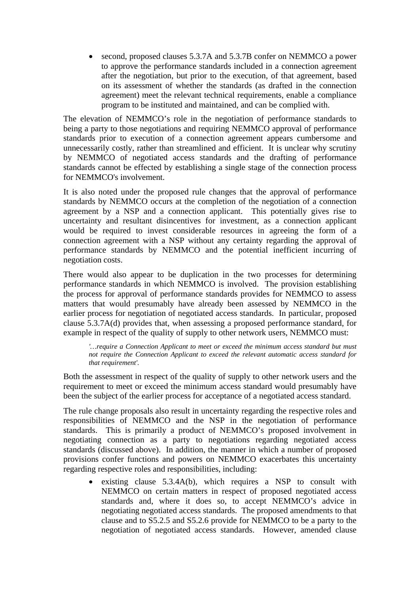• second, proposed clauses 5.3.7A and 5.3.7B confer on NEMMCO a power to approve the performance standards included in a connection agreement after the negotiation, but prior to the execution, of that agreement, based on its assessment of whether the standards (as drafted in the connection agreement) meet the relevant technical requirements, enable a compliance program to be instituted and maintained, and can be complied with.

The elevation of NEMMCO's role in the negotiation of performance standards to being a party to those negotiations and requiring NEMMCO approval of performance standards prior to execution of a connection agreement appears cumbersome and unnecessarily costly, rather than streamlined and efficient. It is unclear why scrutiny by NEMMCO of negotiated access standards and the drafting of performance standards cannot be effected by establishing a single stage of the connection process for NEMMCO's involvement.

It is also noted under the proposed rule changes that the approval of performance standards by NEMMCO occurs at the completion of the negotiation of a connection agreement by a NSP and a connection applicant. This potentially gives rise to uncertainty and resultant disincentives for investment, as a connection applicant would be required to invest considerable resources in agreeing the form of a connection agreement with a NSP without any certainty regarding the approval of performance standards by NEMMCO and the potential inefficient incurring of negotiation costs.

There would also appear to be duplication in the two processes for determining performance standards in which NEMMCO is involved. The provision establishing the process for approval of performance standards provides for NEMMCO to assess matters that would presumably have already been assessed by NEMMCO in the earlier process for negotiation of negotiated access standards. In particular, proposed clause 5.3.7A(d) provides that, when assessing a proposed performance standard, for example in respect of the quality of supply to other network users, NEMMCO must:

*'…require a Connection Applicant to meet or exceed the minimum access standard but must not require the Connection Applicant to exceed the relevant automatic access standard for that requirement'.* 

Both the assessment in respect of the quality of supply to other network users and the requirement to meet or exceed the minimum access standard would presumably have been the subject of the earlier process for acceptance of a negotiated access standard.

The rule change proposals also result in uncertainty regarding the respective roles and responsibilities of NEMMCO and the NSP in the negotiation of performance standards. This is primarily a product of NEMMCO's proposed involvement in negotiating connection as a party to negotiations regarding negotiated access standards (discussed above). In addition, the manner in which a number of proposed provisions confer functions and powers on NEMMCO exacerbates this uncertainty regarding respective roles and responsibilities, including:

existing clause  $5.3.4A(b)$ , which requires a NSP to consult with NEMMCO on certain matters in respect of proposed negotiated access standards and, where it does so, to accept NEMMCO's advice in negotiating negotiated access standards. The proposed amendments to that clause and to S5.2.5 and S5.2.6 provide for NEMMCO to be a party to the negotiation of negotiated access standards. However, amended clause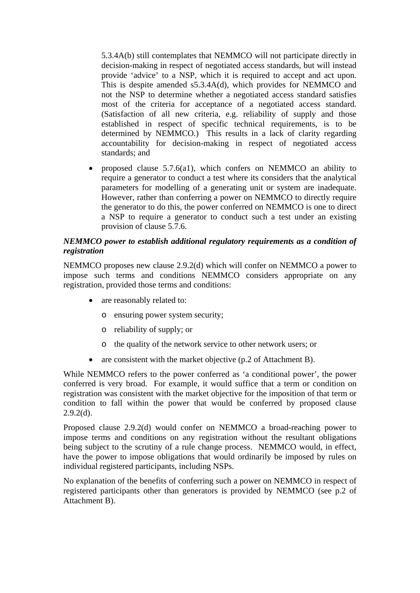5.3.4A(b) still contemplates that NEMMCO will not participate directly in decision-making in respect of negotiated access standards, but will instead provide 'advice' to a NSP, which it is required to accept and act upon. This is despite amended s5.3.4A(d), which provides for NEMMCO and not the NSP to determine whether a negotiated access standard satisfies most of the criteria for acceptance of a negotiated access standard. (Satisfaction of all new criteria, e.g. reliability of supply and those established in respect of specific technical requirements, is to be determined by NEMMCO.) This results in a lack of clarity regarding accountability for decision-making in respect of negotiated access standards; and

• proposed clause 5.7.6(a1), which confers on NEMMCO an ability to require a generator to conduct a test where its considers that the analytical parameters for modelling of a generating unit or system are inadequate. However, rather than conferring a power on NEMMCO to directly require the generator to do this, the power conferred on NEMMCO is one to direct a NSP to require a generator to conduct such a test under an existing provision of clause 5.7.6.

## *NEMMCO power to establish additional regulatory requirements as a condition of registration*

NEMMCO proposes new clause 2.9.2(d) which will confer on NEMMCO a power to impose such terms and conditions NEMMCO considers appropriate on any registration, provided those terms and conditions:

- are reasonably related to:
	- o ensuring power system security;
	- o reliability of supply; or
	- o the quality of the network service to other network users; or
- are consistent with the market objective (p.2 of Attachment B).

While NEMMCO refers to the power conferred as 'a conditional power', the power conferred is very broad. For example, it would suffice that a term or condition on registration was consistent with the market objective for the imposition of that term or condition to fall within the power that would be conferred by proposed clause  $2.9.2(d)$ .

Proposed clause 2.9.2(d) would confer on NEMMCO a broad-reaching power to impose terms and conditions on any registration without the resultant obligations being subject to the scrutiny of a rule change process. NEMMCO would, in effect, have the power to impose obligations that would ordinarily be imposed by rules on individual registered participants, including NSPs.

No explanation of the benefits of conferring such a power on NEMMCO in respect of registered participants other than generators is provided by NEMMCO (see p.2 of Attachment B).